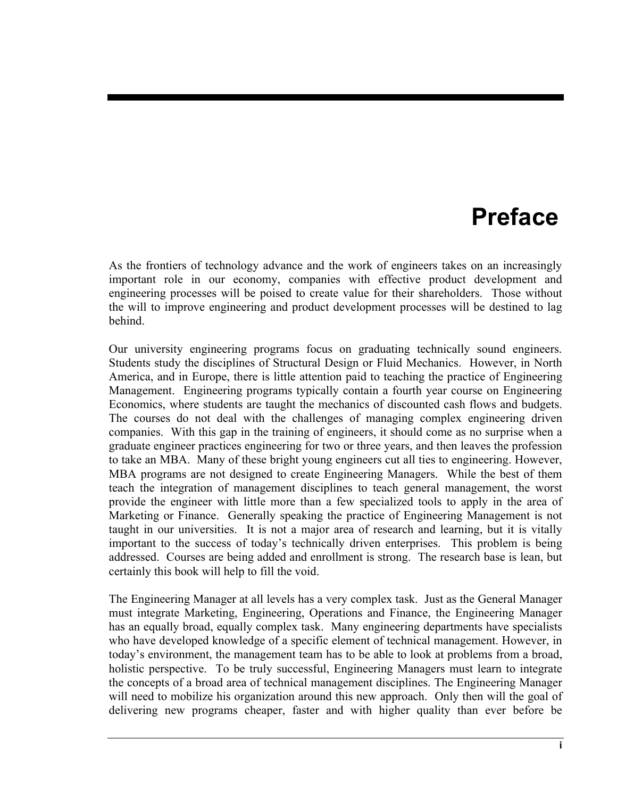## **Preface**

As the frontiers of technology advance and the work of engineers takes on an increasingly important role in our economy, companies with effective product development and engineering processes will be poised to create value for their shareholders. Those without the will to improve engineering and product development processes will be destined to lag behind.

Our university engineering programs focus on graduating technically sound engineers. Students study the disciplines of Structural Design or Fluid Mechanics. However, in North America, and in Europe, there is little attention paid to teaching the practice of Engineering Management. Engineering programs typically contain a fourth year course on Engineering Economics, where students are taught the mechanics of discounted cash flows and budgets. The courses do not deal with the challenges of managing complex engineering driven companies. With this gap in the training of engineers, it should come as no surprise when a graduate engineer practices engineering for two or three years, and then leaves the profession to take an MBA. Many of these bright young engineers cut all ties to engineering. However, MBA programs are not designed to create Engineering Managers. While the best of them teach the integration of management disciplines to teach general management, the worst provide the engineer with little more than a few specialized tools to apply in the area of Marketing or Finance. Generally speaking the practice of Engineering Management is not taught in our universities. It is not a major area of research and learning, but it is vitally important to the success of today's technically driven enterprises. This problem is being addressed. Courses are being added and enrollment is strong. The research base is lean, but certainly this book will help to fill the void.

The Engineering Manager at all levels has a very complex task. Just as the General Manager must integrate Marketing, Engineering, Operations and Finance, the Engineering Manager has an equally broad, equally complex task. Many engineering departments have specialists who have developed knowledge of a specific element of technical management. However, in today's environment, the management team has to be able to look at problems from a broad, holistic perspective. To be truly successful, Engineering Managers must learn to integrate the concepts of a broad area of technical management disciplines. The Engineering Manager will need to mobilize his organization around this new approach. Only then will the goal of delivering new programs cheaper, faster and with higher quality than ever before be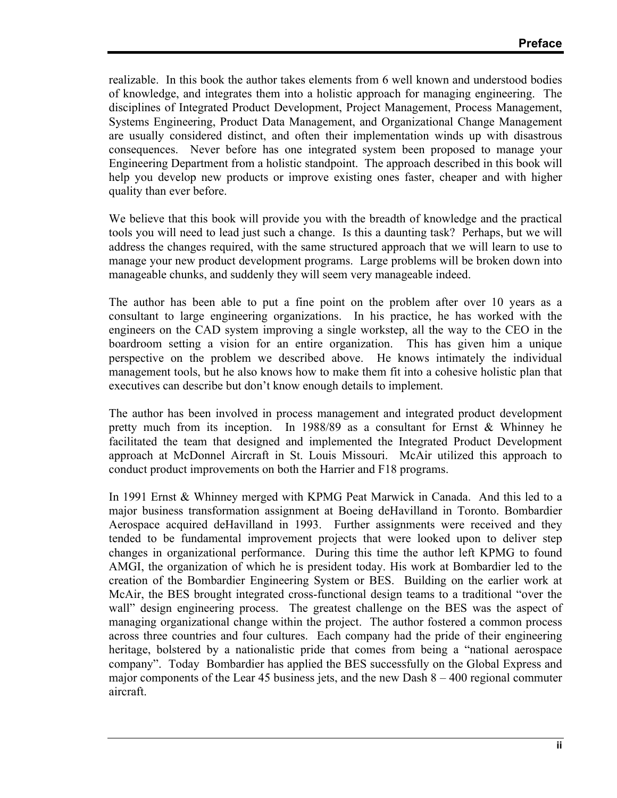realizable. In this book the author takes elements from 6 well known and understood bodies of knowledge, and integrates them into a holistic approach for managing engineering. The disciplines of Integrated Product Development, Project Management, Process Management, Systems Engineering, Product Data Management, and Organizational Change Management are usually considered distinct, and often their implementation winds up with disastrous consequences. Never before has one integrated system been proposed to manage your Engineering Department from a holistic standpoint. The approach described in this book will help you develop new products or improve existing ones faster, cheaper and with higher quality than ever before.

We believe that this book will provide you with the breadth of knowledge and the practical tools you will need to lead just such a change. Is this a daunting task? Perhaps, but we will address the changes required, with the same structured approach that we will learn to use to manage your new product development programs. Large problems will be broken down into manageable chunks, and suddenly they will seem very manageable indeed.

The author has been able to put a fine point on the problem after over 10 years as a consultant to large engineering organizations. In his practice, he has worked with the engineers on the CAD system improving a single workstep, all the way to the CEO in the boardroom setting a vision for an entire organization. This has given him a unique perspective on the problem we described above. He knows intimately the individual management tools, but he also knows how to make them fit into a cohesive holistic plan that executives can describe but don't know enough details to implement.

The author has been involved in process management and integrated product development pretty much from its inception. In 1988/89 as a consultant for Ernst & Whinney he facilitated the team that designed and implemented the Integrated Product Development approach at McDonnel Aircraft in St. Louis Missouri. McAir utilized this approach to conduct product improvements on both the Harrier and F18 programs.

In 1991 Ernst & Whinney merged with KPMG Peat Marwick in Canada. And this led to a major business transformation assignment at Boeing deHavilland in Toronto. Bombardier Aerospace acquired deHavilland in 1993. Further assignments were received and they tended to be fundamental improvement projects that were looked upon to deliver step changes in organizational performance. During this time the author left KPMG to found AMGI, the organization of which he is president today. His work at Bombardier led to the creation of the Bombardier Engineering System or BES. Building on the earlier work at McAir, the BES brought integrated cross-functional design teams to a traditional "over the wall" design engineering process. The greatest challenge on the BES was the aspect of managing organizational change within the project. The author fostered a common process across three countries and four cultures. Each company had the pride of their engineering heritage, bolstered by a nationalistic pride that comes from being a "national aerospace company". Today Bombardier has applied the BES successfully on the Global Express and major components of the Lear 45 business jets, and the new Dash  $8 - 400$  regional commuter aircraft.